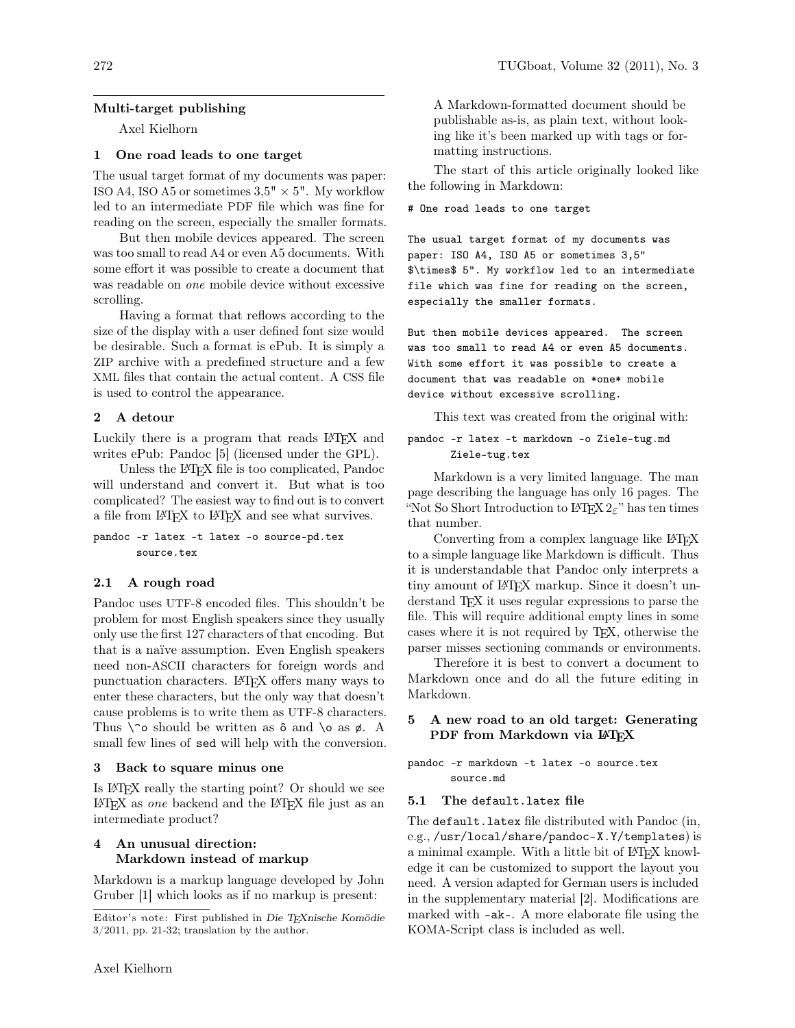# Multi-target publishing

Axel Kielhorn

# 1 One road leads to one target

The usual target format of my documents was paper: ISO A4, ISO A5 or sometimes  $3.5" \times 5"$ . My workflow led to an intermediate PDF file which was fine for reading on the screen, especially the smaller formats.

But then mobile devices appeared. The screen was too small to read A4 or even A5 documents. With some effort it was possible to create a document that was readable on one mobile device without excessive scrolling.

Having a format that reflows according to the size of the display with a user defined font size would be desirable. Such a format is ePub. It is simply a ZIP archive with a predefined structure and a few XML files that contain the actual content. A CSS file is used to control the appearance.

## 2 A detour

Luckily there is a program that reads LAT<sub>EX</sub> and writes ePub: Pandoc [5] (licensed under the GPL).

Unless the LATEX file is too complicated, Pandoc will understand and convert it. But what is too complicated? The easiest way to find out is to convert a file from LATEX to LATEX and see what survives.

pandoc -r latex -t latex -o source-pd.tex source.tex

### 2.1 A rough road

Pandoc uses UTF-8 encoded files. This shouldn't be problem for most English speakers since they usually only use the first 127 characters of that encoding. But that is a naïve assumption. Even English speakers need non-ASCII characters for foreign words and punctuation characters. LAT<sub>EX</sub> offers many ways to enter these characters, but the only way that doesn't cause problems is to write them as UTF-8 characters. Thus  $\infty$  should be written as  $\delta$  and  $\delta$  as  $\phi$ . A small few lines of sed will help with the conversion.

### 3 Back to square minus one

Is LATEX really the starting point? Or should we see  $L^2$ F/FX as *one* backend and the  $L^2$ F/FX file just as an intermediate product?

# 4 An unusual direction: Markdown instead of markup

Markdown is a markup language developed by John Gruber [1] which looks as if no markup is present:

A Markdown-formatted document should be publishable as-is, as plain text, without looking like it's been marked up with tags or formatting instructions.

The start of this article originally looked like the following in Markdown:

# One road leads to one target

The usual target format of my documents was paper: ISO A4, ISO A5 or sometimes 3,5" \$\times\$ 5". My workflow led to an intermediate file which was fine for reading on the screen, especially the smaller formats.

But then mobile devices appeared. The screen was too small to read A4 or even A5 documents. With some effort it was possible to create a document that was readable on \*one\* mobile device without excessive scrolling.

This text was created from the original with:

pandoc -r latex -t markdown -o Ziele-tug.md Ziele-tug.tex

Markdown is a very limited language. The man page describing the language has only 16 pages. The "Not So Short Introduction to LAT<sub>E</sub>X  $2\varepsilon$ " has ten times that number.

Converting from a complex language like LAT<sub>EX</sub> to a simple language like Markdown is difficult. Thus it is understandable that Pandoc only interprets a tiny amount of LATEX markup. Since it doesn't understand TFX it uses regular expressions to parse the file. This will require additional empty lines in some cases where it is not required by TEX, otherwise the parser misses sectioning commands or environments.

Therefore it is best to convert a document to Markdown once and do all the future editing in Markdown.

# 5 A new road to an old target: Generating PDF from Markdown via L<sup>AT</sup>EX

```
pandoc -r markdown -t latex -o source.tex
       source.md
```
### 5.1 The default.latex file

The default.latex file distributed with Pandoc (in, e.g., /usr/local/share/pandoc-X.Y/templates) is a minimal example. With a little bit of LAT<sub>EX</sub> knowledge it can be customized to support the layout you need. A version adapted for German users is included in the supplementary material [2]. Modifications are marked with -ak-. A more elaborate file using the KOMA-Script class is included as well.

Editor's note: First published in Die TEXnische Komödie 3/2011, pp. 21-32; translation by the author.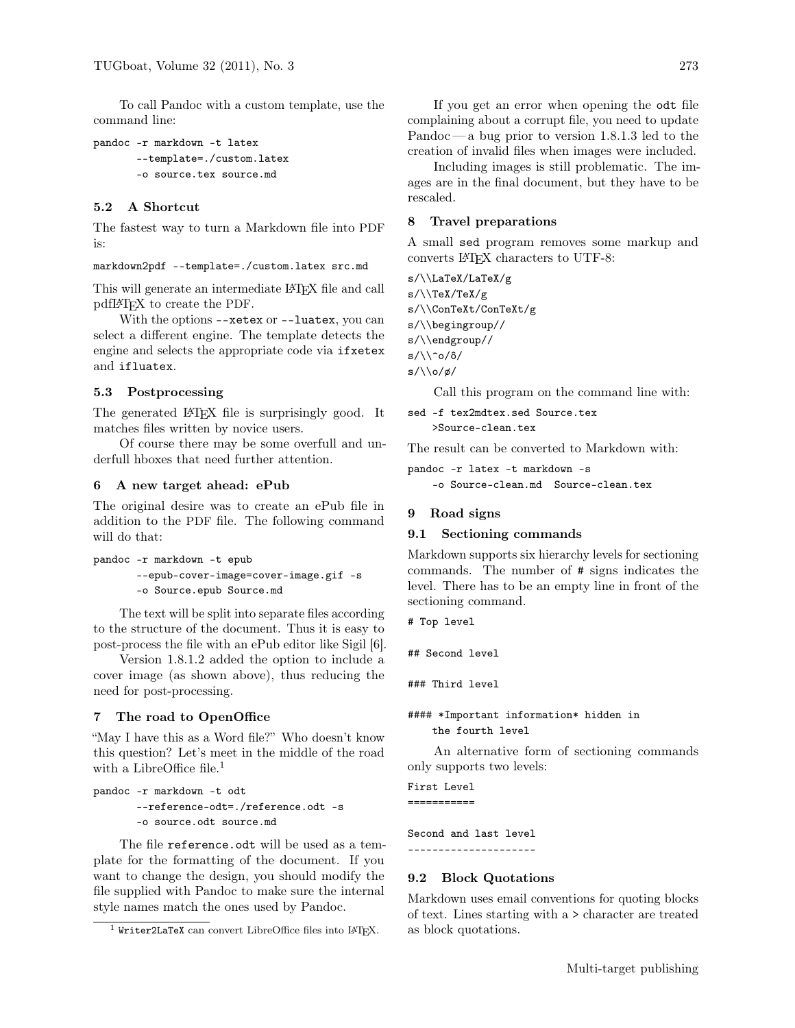To call Pandoc with a custom template, use the command line:

```
pandoc -r markdown -t latex
       --template=./custom.latex
       -o source.tex source.md
```
# 5.2 A Shortcut

The fastest way to turn a Markdown file into PDF is:

markdown2pdf --template=./custom.latex src.md

This will generate an intermediate LATEX file and call pdfLATEX to create the PDF.

With the options --xetex or --luatex, you can select a different engine. The template detects the engine and selects the appropriate code via ifxetex and ifluatex.

## 5.3 Postprocessing

The generated LAT<sub>EX</sub> file is surprisingly good. It matches files written by novice users.

Of course there may be some overfull and underfull hboxes that need further attention.

### 6 A new target ahead: ePub

The original desire was to create an ePub file in addition to the PDF file. The following command will do that:

```
pandoc -r markdown -t epub
       --epub-cover-image=cover-image.gif -s
       -o Source.epub Source.md
```
The text will be split into separate files according to the structure of the document. Thus it is easy to post-process the file with an ePub editor like Sigil [6].

Version 1.8.1.2 added the option to include a cover image (as shown above), thus reducing the need for post-processing.

## 7 The road to OpenOffice

"May I have this as a Word file?" Who doesn't know this question? Let's meet in the middle of the road with a LibreOffice file.<sup>1</sup>

```
pandoc -r markdown -t odt
       --reference-odt=./reference.odt -s
       -o source.odt source.md
```
The file reference.odt will be used as a template for the formatting of the document. If you want to change the design, you should modify the file supplied with Pandoc to make sure the internal style names match the ones used by Pandoc.

If you get an error when opening the odt file complaining about a corrupt file, you need to update Pandoc— a bug prior to version 1.8.1.3 led to the creation of invalid files when images were included.

Including images is still problematic. The images are in the final document, but they have to be rescaled.

## 8 Travel preparations

A small sed program removes some markup and converts LATEX characters to UTF-8:

s/\\LaTeX/LaTeX/g s/\\TeX/TeX/g s/\\ConTeXt/ConTeXt/g s/\\begingroup// s/\\endgroup//  $s/\lq\lq\lq o/\delta/$ s/\\o/ø/

Call this program on the command line with:

```
sed -f tex2mdtex.sed Source.tex
   >Source-clean.tex
```
The result can be converted to Markdown with:

```
pandoc -r latex -t markdown -s
    -o Source-clean.md Source-clean.tex
```
### 9 Road signs

### 9.1 Sectioning commands

Markdown supports six hierarchy levels for sectioning commands. The number of # signs indicates the level. There has to be an empty line in front of the sectioning command.

```
# Top level
```
## Second level

### Third level

#### \*Important information\* hidden in the fourth level

An alternative form of sectioning commands only supports two levels:

First Level ===========

Second and last level

```
---------------------
```
## 9.2 Block Quotations

Markdown uses email conventions for quoting blocks of text. Lines starting with a > character are treated as block quotations.

 $1$  Writer2LaTeX can convert LibreOffice files into LATFX.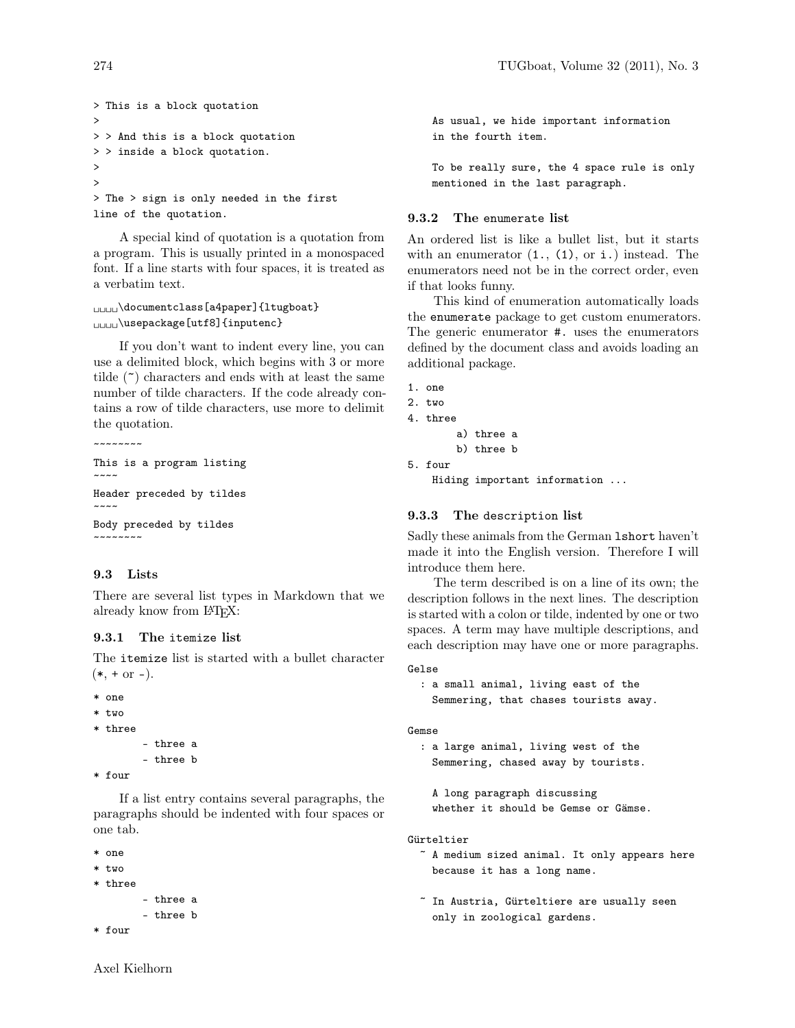```
> This is a block quotation
>
> > And this is a block quotation
> > inside a block quotation.
>
>
> The > sign is only needed in the first
line of the quotation.
```
A special kind of quotation is a quotation from a program. This is usually printed in a monospaced font. If a line starts with four spaces, it is treated as a verbatim text.

```
␣␣␣␣\documentclass[a4paper]{ltugboat}
␣␣␣␣\usepackage[utf8]{inputenc}
```
If you don't want to indent every line, you can use a delimited block, which begins with 3 or more tilde  $(\tilde{\phantom{a}})$  characters and ends with at least the same number of tilde characters. If the code already contains a row of tilde characters, use more to delimit the quotation.

```
~~~~~~~~
This is a program listing
\sim\sim\sim\simHeader preceded by tildes
```

```
\sim \sim \simBody preceded by tildes
~~~~~~~~
```
## 9.3 Lists

There are several list types in Markdown that we already know from L<sup>AT</sup>FX:

#### 9.3.1 The itemize list

The itemize list is started with a bullet character  $(*, + or -).$ 

```
* one
```

```
* two
```

```
* three
```

```
- three a
- three b
```

```
* four
```
If a list entry contains several paragraphs, the paragraphs should be indented with four spaces or one tab.

```
* one
```

```
* two
```

```
* three
```

```
- three a
- three b
```

```
* four
```
As usual, we hide important information in the fourth item.

To be really sure, the 4 space rule is only mentioned in the last paragraph.

### 9.3.2 The enumerate list

An ordered list is like a bullet list, but it starts with an enumerator  $(1., (1), or i.)$  instead. The enumerators need not be in the correct order, even if that looks funny.

This kind of enumeration automatically loads the enumerate package to get custom enumerators. The generic enumerator #. uses the enumerators defined by the document class and avoids loading an additional package.

```
1. one
```

```
2. two
```

```
4. three
```

```
a) three a
b) three b
```

```
5. four
```
Hiding important information ...

### 9.3.3 The description list

Sadly these animals from the German lshort haven't made it into the English version. Therefore I will introduce them here.

The term described is on a line of its own; the description follows in the next lines. The description is started with a colon or tilde, indented by one or two spaces. A term may have multiple descriptions, and each description may have one or more paragraphs.

#### Gelse

: a small animal, living east of the Semmering, that chases tourists away.

```
Gemse
```
: a large animal, living west of the Semmering, chased away by tourists.

```
A long paragraph discussing
whether it should be Gemse or Gämse.
```
#### Gürteltier

- ~ A medium sized animal. It only appears here because it has a long name.
- ~ In Austria, Gürteltiere are usually seen only in zoological gardens.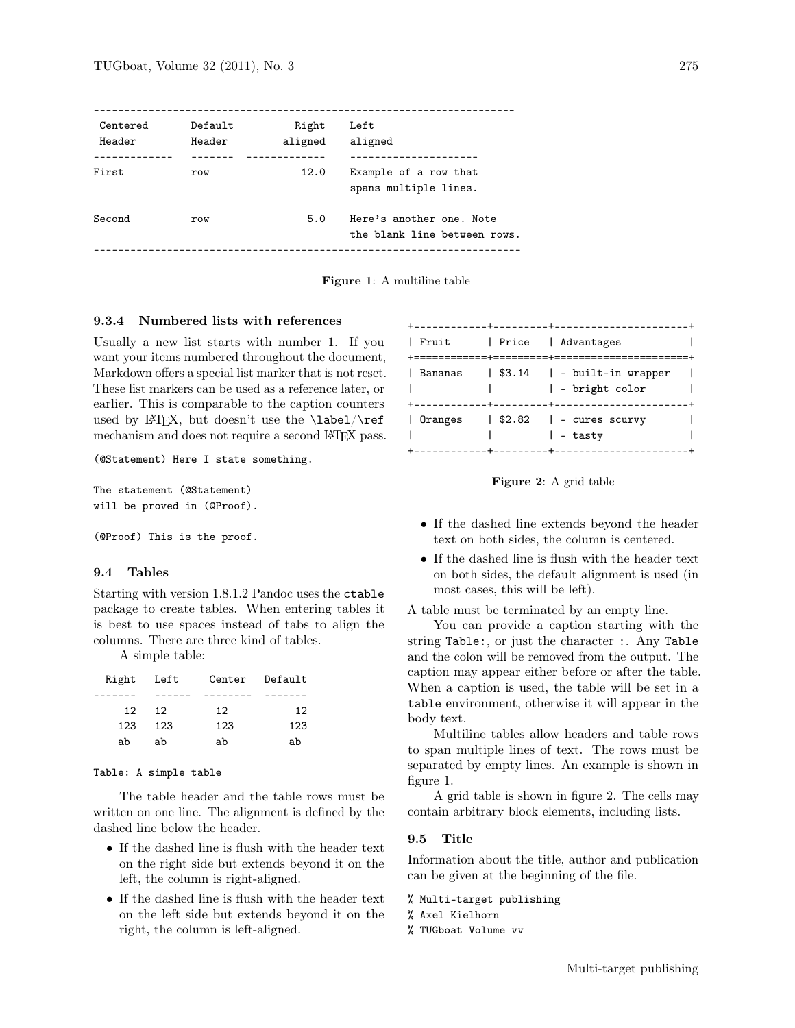| Centered<br>Header | Default<br>Header | Right<br>aligned | Left<br>aligned                                          |
|--------------------|-------------------|------------------|----------------------------------------------------------|
|                    |                   |                  |                                                          |
| First              | row               | 12.0             | Example of a row that<br>spans multiple lines.           |
| Second             | row               | 5.0              | Here's another one. Note<br>the blank line between rows. |
|                    |                   |                  |                                                          |

Figure 1: A multiline table

## 9.3.4 Numbered lists with references

Usually a new list starts with number 1. If you want your items numbered throughout the document, Markdown offers a special list marker that is not reset. These list markers can be used as a reference later, or earlier. This is comparable to the caption counters used by LATEX, but doesn't use the  $\label{eq:ex1}$  label/ $\ref$ mechanism and does not require a second L<sup>AT</sup>FX pass.

(@Statement) Here I state something.

The statement (@Statement) will be proved in (@Proof).

(@Proof) This is the proof.

#### 9.4 Tables

Starting with version 1.8.1.2 Pandoc uses the ctable package to create tables. When entering tables it is best to use spaces instead of tabs to align the columns. There are three kind of tables.

A simple table:

| Right Left      |     |     | Center Default |
|-----------------|-----|-----|----------------|
|                 |     |     |                |
| 12 <sub>1</sub> | 12  | 12  | 12             |
| 123             | 123 | 123 | 123            |
| ab              | ab  | ab  | ah             |

#### Table: A simple table

The table header and the table rows must be written on one line. The alignment is defined by the dashed line below the header.

- If the dashed line is flush with the header text on the right side but extends beyond it on the left, the column is right-aligned.
- If the dashed line is flush with the header text on the left side but extends beyond it on the right, the column is left-aligned.

| $+ - - - - - - - - - - + -$ | --------+---------------------                                                      |  |
|-----------------------------|-------------------------------------------------------------------------------------|--|
| Fruit                       | Price Advantages                                                                    |  |
|                             | Bananas   \$3.14   - built-in wrapper<br>  - bright color<br>-+-------------------- |  |
| │ Oranges                   | $\frac{1}{2}$ .82 $\frac{1}{2}$ - cures scurvy<br>  – tasty                         |  |

Figure 2: A grid table

- If the dashed line extends beyond the header text on both sides, the column is centered.
- If the dashed line is flush with the header text on both sides, the default alignment is used (in most cases, this will be left).

A table must be terminated by an empty line.

You can provide a caption starting with the string Table:, or just the character :. Any Table and the colon will be removed from the output. The caption may appear either before or after the table. When a caption is used, the table will be set in a table environment, otherwise it will appear in the body text.

Multiline tables allow headers and table rows to span multiple lines of text. The rows must be separated by empty lines. An example is shown in figure 1.

A grid table is shown in figure 2. The cells may contain arbitrary block elements, including lists.

#### 9.5 Title

Information about the title, author and publication can be given at the beginning of the file.

### % Multi-target publishing

% Axel Kielhorn

% TUGboat Volume vv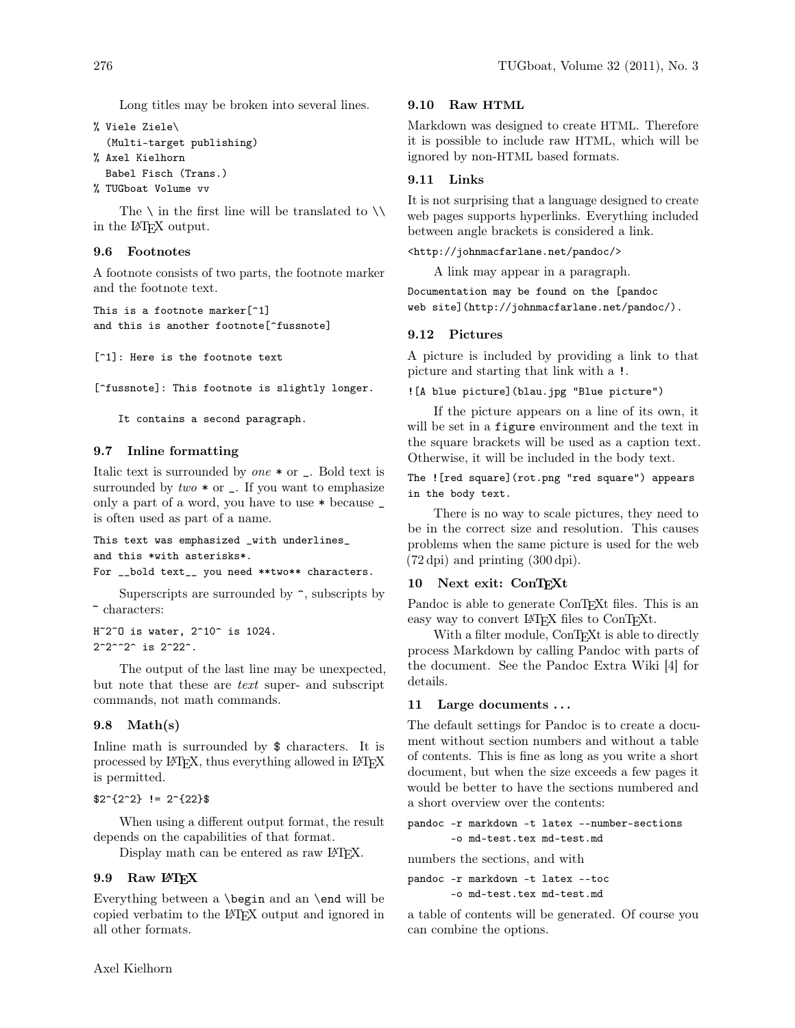Long titles may be broken into several lines.

```
% Viele Ziele\
  (Multi-target publishing)
% Axel Kielhorn
 Babel Fisch (Trans.)
```
% TUGboat Volume vv

The  $\setminus$  in the first line will be translated to  $\setminus \setminus$ in the LATEX output.

### 9.6 Footnotes

A footnote consists of two parts, the footnote marker and the footnote text.

This is a footnote marker[^1] and this is another footnote[^fussnote]

[^1]: Here is the footnote text

[^fussnote]: This footnote is slightly longer.

```
It contains a second paragraph.
```
## 9.7 Inline formatting

Italic text is surrounded by  $one * or \_$ . Bold text is surrounded by  $two * or \_$ . If you want to emphasize only a part of a word, you have to use \* because \_ is often used as part of a name.

```
This text was emphasized _with underlines_
and this *with asterisks*.
For __bold text__ you need **two** characters.
```
Superscripts are surrounded by  $\hat{\ }$ , subscripts by  $\tilde{}$  characters:

 $H^{\sim}2^{\sim}0$  is water,  $2^{\sim}10^{\sim}$  is 1024.  $2^2^2^2$  is  $2^22^$ .

The output of the last line may be unexpected, but note that these are text super- and subscript commands, not math commands.

# 9.8 Math(s)

In line math is surrounded by  $\frac{1}{2}$  characters. It is processed by L<sup>A</sup>T<sub>E</sub>X, thus everything allowed in L<sup>A</sup>T<sub>E</sub>X is permitted.

```
$2^{2}{2<sup>-</sup>2} != 2<sup>-</sup>{22}$
```
When using a different output format, the result depends on the capabilities of that format.

Display math can be entered as raw LATEX.

## 9.9 Raw L<sup>A</sup>T<sub>F</sub>X

Everything between a \begin and an \end will be copied verbatim to the LATEX output and ignored in all other formats.

## 9.10 Raw HTML

Markdown was designed to create HTML. Therefore it is possible to include raw HTML, which will be ignored by non-HTML based formats.

## 9.11 Links

It is not surprising that a language designed to create web pages supports hyperlinks. Everything included between angle brackets is considered a link.

<http://johnmacfarlane.net/pandoc/>

A link may appear in a paragraph.

Documentation may be found on the [pandoc web site](http://johnmacfarlane.net/pandoc/).

### 9.12 Pictures

A picture is included by providing a link to that picture and starting that link with a !.

![A blue picture](blau.jpg "Blue picture")

If the picture appears on a line of its own, it will be set in a figure environment and the text in the square brackets will be used as a caption text. Otherwise, it will be included in the body text.

The ![red square](rot.png "red square") appears in the body text.

There is no way to scale pictures, they need to be in the correct size and resolution. This causes problems when the same picture is used for the web (72 dpi) and printing (300 dpi).

## 10 Next exit: ConTFXt

Pandoc is able to generate ConTEXt files. This is an easy way to convert LAT<sub>F</sub>X files to ConT<sub>F</sub>X<sup>t</sup>.

With a filter module, ConTEXt is able to directly process Markdown by calling Pandoc with parts of the document. See the Pandoc Extra Wiki [4] for details.

### 11 Large documents ...

The default settings for Pandoc is to create a document without section numbers and without a table of contents. This is fine as long as you write a short document, but when the size exceeds a few pages it would be better to have the sections numbered and a short overview over the contents:

```
pandoc -r markdown -t latex --number-sections
       -o md-test.tex md-test.md
```
numbers the sections, and with

pandoc -r markdown -t latex --toc -o md-test.tex md-test.md

a table of contents will be generated. Of course you can combine the options.